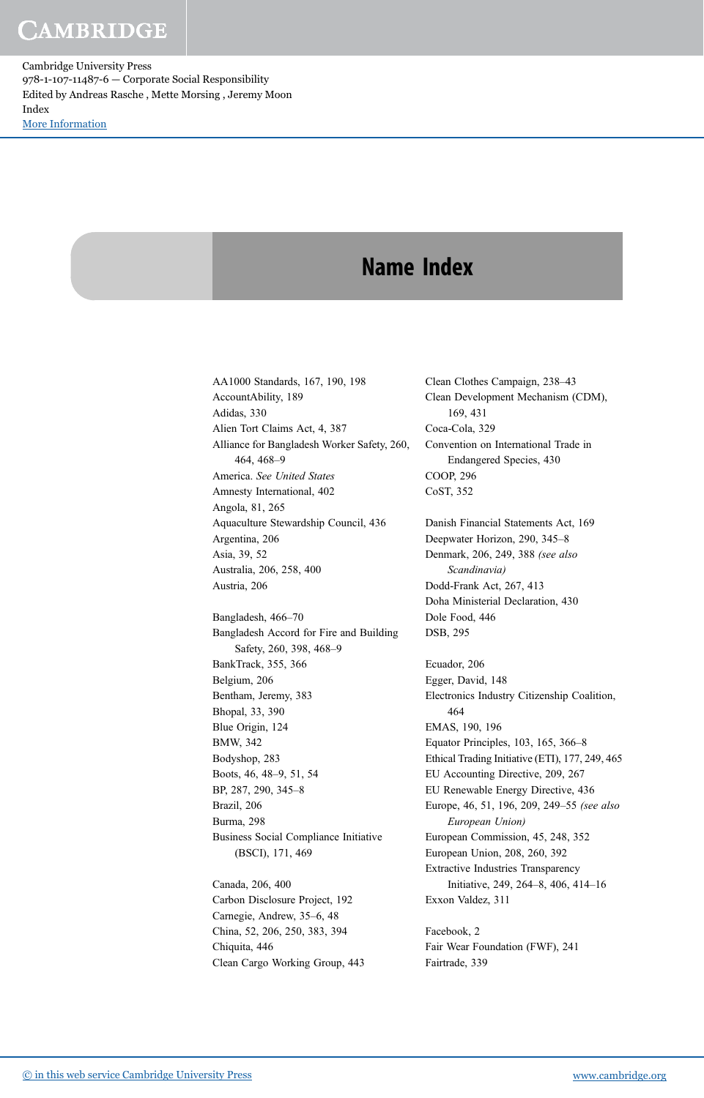Cambridge University Press 978-1-107-11487-6 — Corporate Social Responsibility Edited by Andreas Rasche , Mette Morsing , Jeremy Moon Index [More Information](www.cambridge.org/9781107114876)

#### Name Index

AA1000 Standards, 167, 190, 198 AccountAbility, 189 Adidas, 330 Alien Tort Claims Act, 4, 387 Alliance for Bangladesh Worker Safety, 260, 464, 468–9 America. See United States Amnesty International, 402 Angola, 81, 265 Aquaculture Stewardship Council, 436 Argentina, 206 Asia, 39, 52 Australia, 206, 258, 400 Austria, 206 Bangladesh, 466–70 Bangladesh Accord for Fire and Building Safety, 260, 398, 468–9 BankTrack, 355, 366 Belgium, 206 Bentham, Jeremy, 383 Bhopal, 33, 390 Blue Origin, 124 BMW, 342 Bodyshop, 283 Boots, 46, 48–9, 51, 54 BP, 287, 290, 345–8 Brazil, 206 Burma, 298 Business Social Compliance Initiative (BSCI), 171, 469

Canada, 206, 400 Carbon Disclosure Project, 192 Carnegie, Andrew, 35–6, 48 China, 52, 206, 250, 383, 394 Chiquita, 446 Clean Cargo Working Group, 443 Clean Clothes Campaign, 238–43 Clean Development Mechanism (CDM), 169, 431 Coca-Cola, 329 Convention on International Trade in Endangered Species, 430 COOP, 296 CoST, 352

Danish Financial Statements Act, 169 Deepwater Horizon, 290, 345–8 Denmark, 206, 249, 388 (see also Scandinavia) Dodd-Frank Act, 267, 413 Doha Ministerial Declaration, 430 Dole Food, 446 DSB, 295

Ecuador, 206 Egger, David, 148 Electronics Industry Citizenship Coalition, 464 EMAS, 190, 196 Equator Principles, 103, 165, 366–8 Ethical Trading Initiative (ETI), 177, 249, 465 EU Accounting Directive, 209, 267 EU Renewable Energy Directive, 436 Europe, 46, 51, 196, 209, 249–55 (see also European Union) European Commission, 45, 248, 352 European Union, 208, 260, 392 Extractive Industries Transparency Initiative, 249, 264–8, 406, 414–16 Exxon Valdez, 311

Facebook, 2 Fair Wear Foundation (FWF), 241 Fairtrade, 339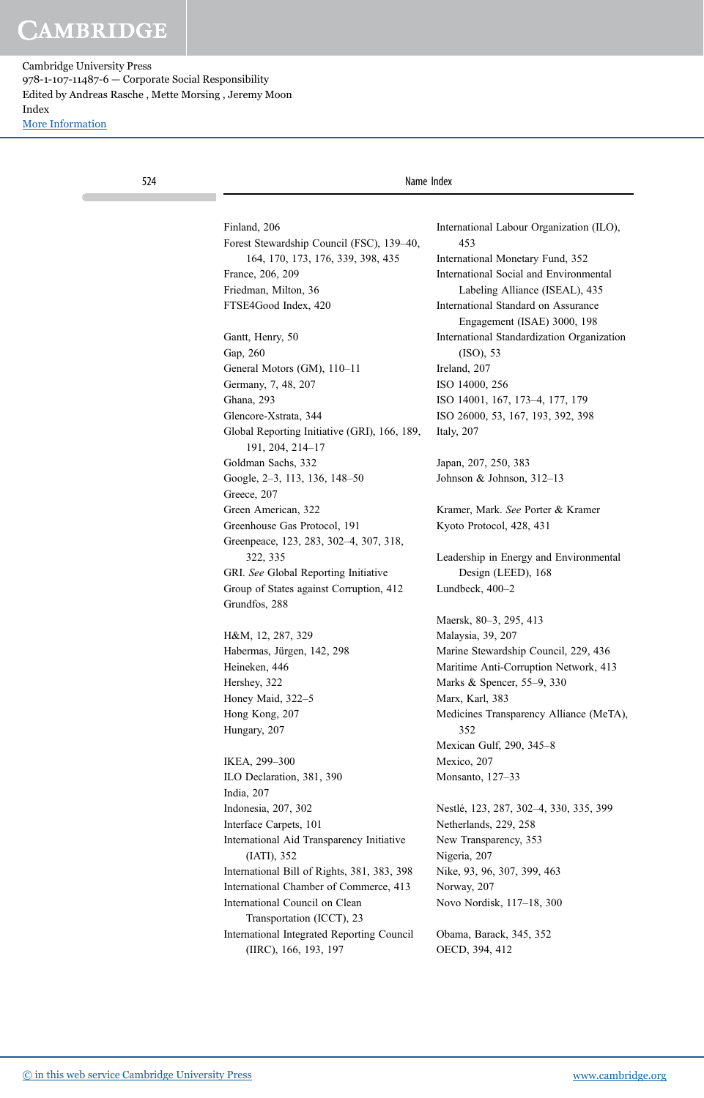| 524 |                                                                                | Name Index                                                         |
|-----|--------------------------------------------------------------------------------|--------------------------------------------------------------------|
|     |                                                                                |                                                                    |
|     | Finland, 206                                                                   | International Labour Organization (ILO),<br>453                    |
|     | Forest Stewardship Council (FSC), 139–40,<br>164, 170, 173, 176, 339, 398, 435 | International Monetary Fund, 352                                   |
|     |                                                                                | International Social and Environmental                             |
|     | France, 206, 209<br>Friedman, Milton, 36                                       | Labeling Alliance (ISEAL), 435                                     |
|     | FTSE4Good Index, 420                                                           | International Standard on Assurance<br>Engagement (ISAE) 3000, 198 |
|     | Gantt, Henry, 50                                                               | International Standardization Organization                         |
|     | Gap, 260                                                                       | (ISO), 53                                                          |
|     | General Motors (GM), 110-11                                                    | Ireland, 207                                                       |
|     | Germany, 7, 48, 207                                                            | ISO 14000, 256                                                     |
|     | Ghana, 293                                                                     | ISO 14001, 167, 173–4, 177, 179                                    |
|     | Glencore-Xstrata, 344                                                          | ISO 26000, 53, 167, 193, 392, 398                                  |
|     | Global Reporting Initiative (GRI), 166, 189,<br>191, 204, 214-17               | Italy, 207                                                         |
|     | Goldman Sachs, 332                                                             | Japan, 207, 250, 383                                               |
|     | Google, 2–3, 113, 136, 148–50<br>Greece, 207                                   | Johnson & Johnson, 312-13                                          |
|     | Green American, 322                                                            | Kramer, Mark. See Porter & Kramer                                  |
|     | Greenhouse Gas Protocol, 191                                                   | Kyoto Protocol, 428, 431                                           |
|     | Greenpeace, 123, 283, 302-4, 307, 318,                                         |                                                                    |
|     | 322, 335                                                                       | Leadership in Energy and Environmental                             |
|     | GRI. See Global Reporting Initiative                                           | Design (LEED), 168                                                 |
|     | Group of States against Corruption, 412<br>Grundfos, 288                       | Lundbeck, $400-2$                                                  |
|     |                                                                                | Maersk, 80-3, 295, 413                                             |
|     | H&M, 12, 287, 329                                                              | Malaysia, 39, 207                                                  |
|     | Habermas, Jürgen, 142, 298                                                     | Marine Stewardship Council, 229, 436                               |
|     | Heineken, 446                                                                  | Maritime Anti-Corruption Network, 413                              |
|     | Hershey, 322                                                                   | Marks & Spencer, 55–9, 330                                         |
|     | Honey Maid, 322-5                                                              | Marx, Karl, 383                                                    |
|     | Hong Kong, 207<br>Hungary, 207                                                 | Medicines Transparency Alliance (MeTA),<br>352                     |
|     |                                                                                | Mexican Gulf, 290, 345-8                                           |
|     | IKEA, 299-300                                                                  | Mexico, 207                                                        |
|     | ILO Declaration, 381, 390<br>India, 207                                        | Monsanto, 127-33                                                   |
|     | Indonesia, 207, 302                                                            | Nestlé, 123, 287, 302–4, 330, 335, 399                             |
|     | Interface Carpets, 101                                                         | Netherlands, 229, 258                                              |
|     | International Aid Transparency Initiative                                      | New Transparency, 353                                              |
|     | $(IATI)$ , 352                                                                 | Nigeria, 207                                                       |
|     | International Bill of Rights, 381, 383, 398                                    | Nike, 93, 96, 307, 399, 463                                        |
|     | International Chamber of Commerce, 413                                         | Norway, 207                                                        |
|     | International Council on Clean<br>Transportation (ICCT), 23                    | Novo Nordisk, 117-18, 300                                          |
|     | International Integrated Reporting Council                                     | Obama, Barack, 345, 352                                            |
|     | (IIRC), 166, 193, 197                                                          | OECD, 394, 412                                                     |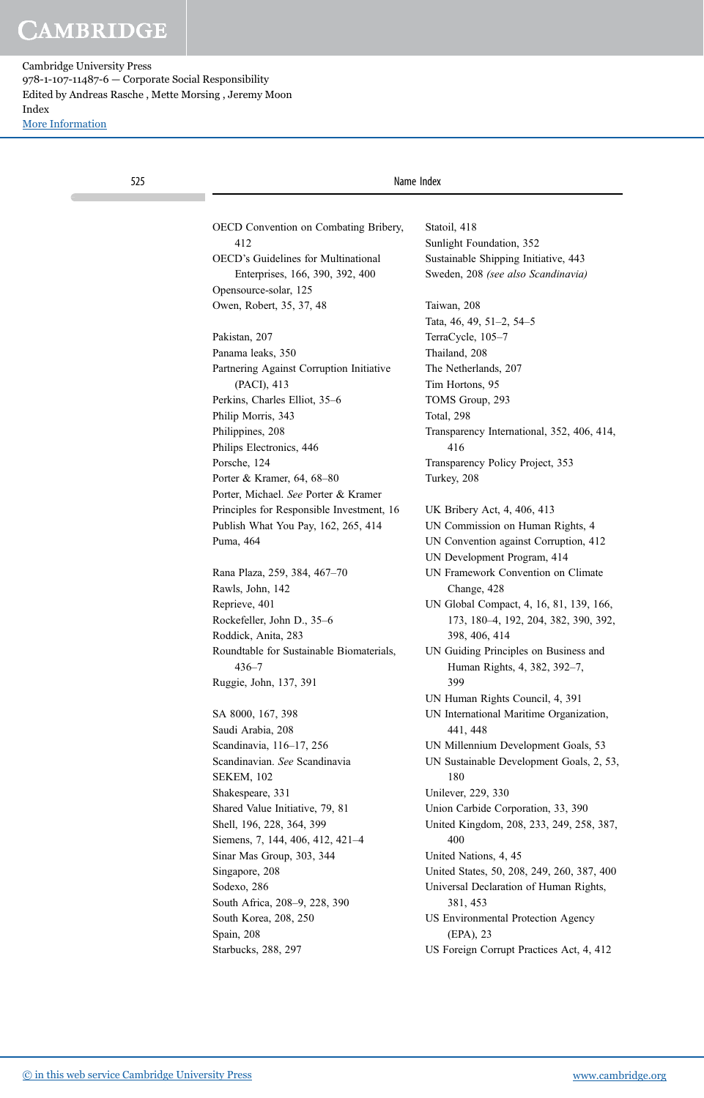| 525 |                                                       | Name Index                                                            |
|-----|-------------------------------------------------------|-----------------------------------------------------------------------|
|     |                                                       |                                                                       |
|     | OECD Convention on Combating Bribery,                 | Statoil, 418                                                          |
|     | 412                                                   | Sunlight Foundation, 352                                              |
|     | <b>OECD's Guidelines for Multinational</b>            | Sustainable Shipping Initiative, 443                                  |
|     | Enterprises, 166, 390, 392, 400                       | Sweden, 208 (see also Scandinavia)                                    |
|     | Opensource-solar, 125<br>Owen, Robert, 35, 37, 48     | Taiwan, 208                                                           |
|     |                                                       | Tata, 46, 49, 51-2, 54-5                                              |
|     | Pakistan, 207                                         | TerraCycle, 105-7                                                     |
|     | Panama leaks, 350                                     | Thailand, 208                                                         |
|     | Partnering Against Corruption Initiative              | The Netherlands, 207                                                  |
|     | (PACI), 413                                           | Tim Hortons, 95                                                       |
|     | Perkins, Charles Elliot, 35-6                         | TOMS Group, 293                                                       |
|     | Philip Morris, 343                                    | Total, 298                                                            |
|     | Philippines, 208                                      | Transparency International, 352, 406, 414,                            |
|     | Philips Electronics, 446                              | 416                                                                   |
|     | Porsche, 124                                          | Transparency Policy Project, 353                                      |
|     |                                                       |                                                                       |
|     | Porter & Kramer, 64, 68-80                            | Turkey, 208                                                           |
|     | Porter, Michael. See Porter & Kramer                  |                                                                       |
|     | Principles for Responsible Investment, 16             | UK Bribery Act, 4, 406, 413                                           |
|     | Publish What You Pay, 162, 265, 414                   | UN Commission on Human Rights, 4                                      |
|     | Puma, 464                                             | UN Convention against Corruption, 412                                 |
|     |                                                       | UN Development Program, 414                                           |
|     | Rana Plaza, 259, 384, 467-70                          | UN Framework Convention on Climate                                    |
|     | Rawls, John, 142                                      | Change, 428                                                           |
|     | Reprieve, 401                                         | UN Global Compact, 4, 16, 81, 139, 166,                               |
|     | Rockefeller, John D., 35-6                            | 173, 180-4, 192, 204, 382, 390, 392,                                  |
|     | Roddick, Anita, 283                                   | 398, 406, 414                                                         |
|     | Roundtable for Sustainable Biomaterials,<br>$436 - 7$ | UN Guiding Principles on Business and<br>Human Rights, 4, 382, 392-7, |
|     | Ruggie, John, 137, 391                                | 399                                                                   |
|     |                                                       | UN Human Rights Council, 4, 391                                       |
|     | SA 8000, 167, 398                                     | UN International Maritime Organization,                               |
|     | Saudi Arabia, 208                                     | 441, 448                                                              |
|     | Scandinavia, 116-17, 256                              | UN Millennium Development Goals, 53                                   |
|     | Scandinavian. See Scandinavia                         | UN Sustainable Development Goals, 2, 53,                              |
|     | <b>SEKEM, 102</b>                                     | 180                                                                   |
|     | Shakespeare, 331                                      | Unilever, 229, 330                                                    |
|     | Shared Value Initiative, 79, 81                       | Union Carbide Corporation, 33, 390                                    |
|     | Shell, 196, 228, 364, 399                             | United Kingdom, 208, 233, 249, 258, 387,                              |
|     | Siemens, 7, 144, 406, 412, 421-4                      | 400                                                                   |
|     | Sinar Mas Group, 303, 344                             | United Nations, 4, 45                                                 |
|     | Singapore, 208                                        | United States, 50, 208, 249, 260, 387, 400                            |
|     | Sodexo, 286                                           | Universal Declaration of Human Rights,                                |
|     | South Africa, 208-9, 228, 390                         | 381, 453                                                              |
|     | South Korea, 208, 250                                 | US Environmental Protection Agency                                    |
|     | Spain, 208                                            | (EPA), 23                                                             |
|     | Starbucks, 288, 297                                   | US Foreign Corrupt Practices Act, 4, 412                              |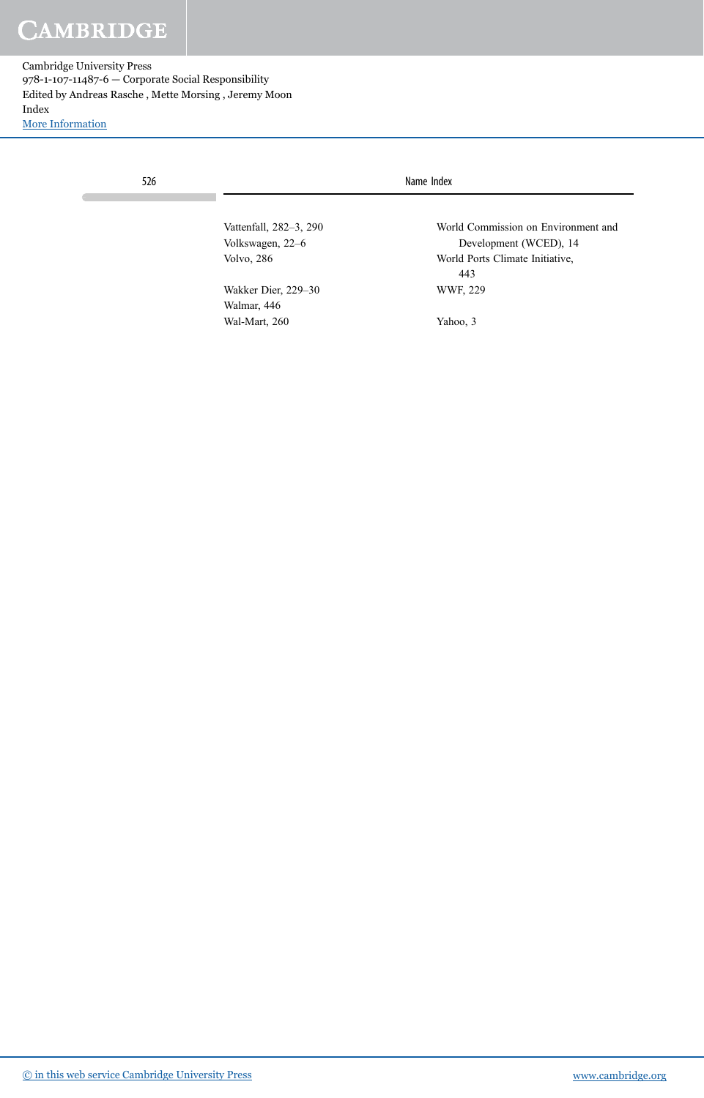Cambridge University Press 978-1-107-11487-6 — Corporate Social Responsibility Edited by Andreas Rasche , Mette Morsing , Jeremy Moon Index [More Information](www.cambridge.org/9781107114876)

| 526 |                                            | Name Index                                                    |  |
|-----|--------------------------------------------|---------------------------------------------------------------|--|
|     | Vattenfall, 282-3, 290<br>Volkswagen, 22–6 | World Commission on Environment and<br>Development (WCED), 14 |  |
|     | <b>Volvo, 286</b>                          | World Ports Climate Initiative,<br>443                        |  |
|     | Wakker Dier, 229–30<br>Walmar, 446         | WWF, 229                                                      |  |
|     | Wal-Mart, 260                              | Yahoo, 3                                                      |  |

[© in this web service Cambridge University Press](www.cambridge.org) www.cambridge.org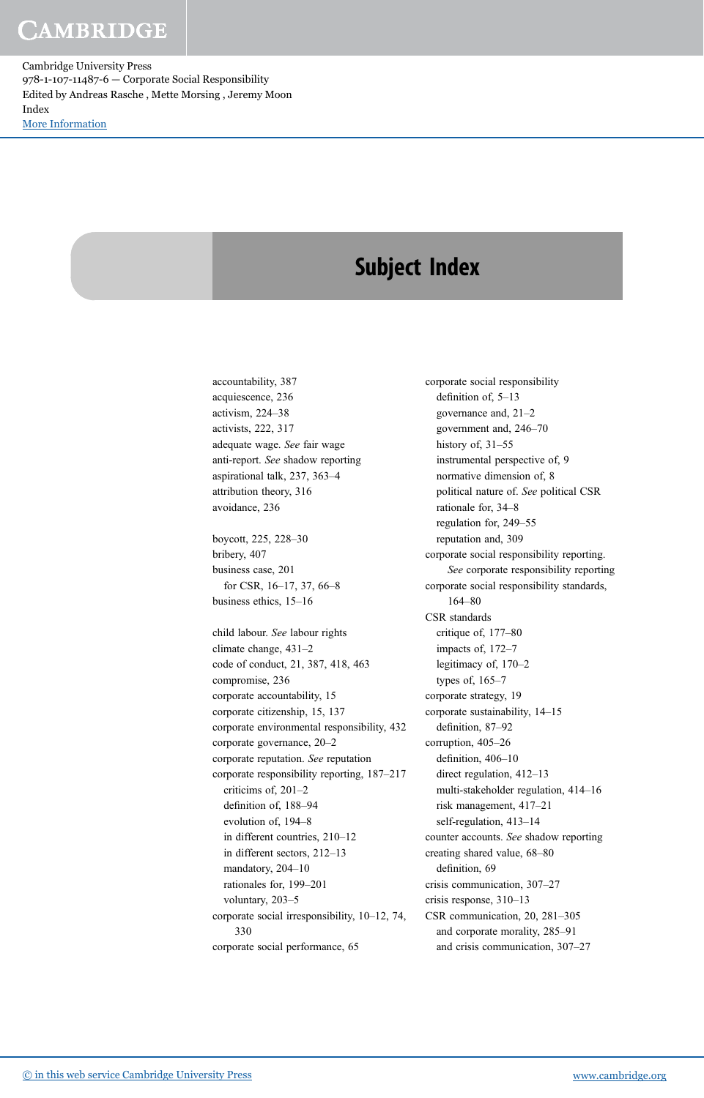Cambridge University Press 978-1-107-11487-6 — Corporate Social Responsibility Edited by Andreas Rasche , Mette Morsing , Jeremy Moon Index [More Information](www.cambridge.org/9781107114876)

# Subject Index

accountability, 387 acquiescence, 236 activism, 224–38 activists, 222, 317 adequate wage. See fair wage anti-report. See shadow reporting aspirational talk, 237, 363–4 attribution theory, 316 avoidance, 236

boycott, 225, 228–30 bribery, 407 business case, 201 for CSR, 16–17, 37, 66–8 business ethics, 15–16

child labour. See labour rights climate change, 431–2 code of conduct, 21, 387, 418, 463 compromise, 236 corporate accountability, 15 corporate citizenship, 15, 137 corporate environmental responsibility, 432 corporate governance, 20–2 corporate reputation. See reputation corporate responsibility reporting, 187–217 criticims of, 201–2 definition of, 188–94 evolution of, 194–8 in different countries, 210–12 in different sectors, 212–13 mandatory, 204–10 rationales for, 199–201 voluntary, 203–5 corporate social irresponsibility, 10–12, 74, 330 corporate social performance, 65

corporate social responsibility definition of, 5–13 governance and, 21–2 government and, 246–70 history of, 31-55 instrumental perspective of, 9 normative dimension of, 8 political nature of. See political CSR rationale for, 34–8 regulation for, 249–55 reputation and, 309 corporate social responsibility reporting. See corporate responsibility reporting corporate social responsibility standards, 164–80 CSR standards critique of, 177–80 impacts of, 172–7 legitimacy of, 170–2 types of, 165–7 corporate strategy, 19 corporate sustainability, 14–15 definition, 87–92 corruption, 405–26 definition, 406–10 direct regulation, 412–13 multi-stakeholder regulation, 414–16 risk management, 417–21 self-regulation, 413–14 counter accounts. See shadow reporting creating shared value, 68–80 definition, 69 crisis communication, 307–27 crisis response, 310–13 CSR communication, 20, 281–305 and corporate morality, 285–91 and crisis communication, 307–27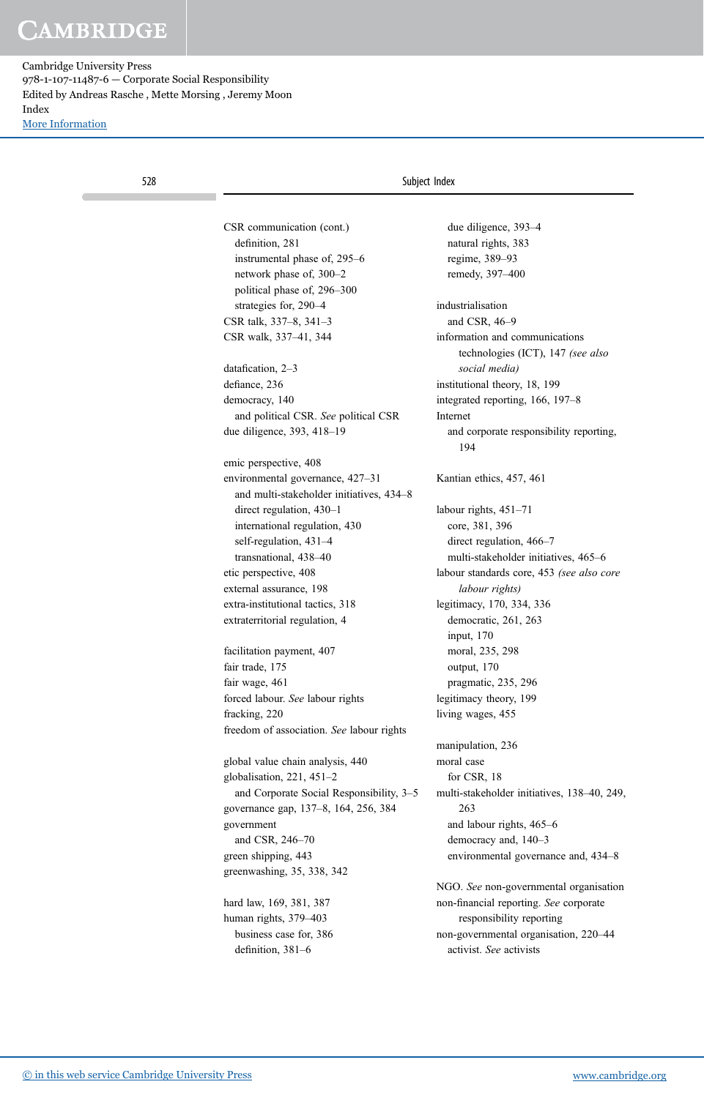| 528 |                                           | Subject Index                                                       |
|-----|-------------------------------------------|---------------------------------------------------------------------|
|     |                                           |                                                                     |
|     | CSR communication (cont.)                 | due diligence, 393-4                                                |
|     | definition, 281                           | natural rights, 383                                                 |
|     | instrumental phase of, 295–6              | regime, 389-93                                                      |
|     | network phase of, 300-2                   | remedy, 397-400                                                     |
|     | political phase of, 296–300               |                                                                     |
|     | strategies for, 290-4                     | industrialisation                                                   |
|     | CSR talk, 337-8, 341-3                    | and CSR, 46-9                                                       |
|     | CSR walk, 337-41, 344                     | information and communications<br>technologies (ICT), 147 (see also |
|     | datafication, 2-3                         | social media)                                                       |
|     | defiance, 236                             | institutional theory, 18, 199                                       |
|     | democracy, 140                            | integrated reporting, 166, 197-8                                    |
|     | and political CSR. See political CSR      | Internet                                                            |
|     | due diligence, 393, 418–19                | and corporate responsibility reporting,<br>194                      |
|     | emic perspective, 408                     |                                                                     |
|     | environmental governance, 427-31          | Kantian ethics, 457, 461                                            |
|     | and multi-stakeholder initiatives, 434–8  |                                                                     |
|     | direct regulation, 430-1                  | labour rights, $451-71$                                             |
|     | international regulation, 430             | core, 381, 396                                                      |
|     | self-regulation, 431-4                    | direct regulation, 466-7                                            |
|     | transnational, 438-40                     | multi-stakeholder initiatives, 465–6                                |
|     | etic perspective, 408                     | labour standards core, 453 (see also core                           |
|     | external assurance, 198                   | labour rights)                                                      |
|     | extra-institutional tactics, 318          | legitimacy, 170, 334, 336                                           |
|     | extraterritorial regulation, 4            | democratic, 261, 263<br>input, 170                                  |
|     |                                           | moral, 235, 298                                                     |
|     | facilitation payment, 407                 |                                                                     |
|     | fair trade, 175                           | output, 170                                                         |
|     | fair wage, 461                            | pragmatic, 235, 296                                                 |
|     | forced labour. See labour rights          | legitimacy theory, 199                                              |
|     | fracking, 220                             | living wages, 455                                                   |
|     | freedom of association. See labour rights |                                                                     |
|     |                                           | manipulation, 236                                                   |
|     | global value chain analysis, 440          | moral case                                                          |
|     | globalisation, $221, 451-2$               | for CSR, 18                                                         |
|     | and Corporate Social Responsibility, 3-5  | multi-stakeholder initiatives, 138-40, 249,                         |
|     | governance gap, 137-8, 164, 256, 384      | 263                                                                 |
|     | government                                | and labour rights, 465-6                                            |
|     | and CSR, 246-70                           | democracy and, 140-3                                                |
|     | green shipping, 443                       | environmental governance and, 434-8                                 |
|     | greenwashing, 35, 338, 342                |                                                                     |
|     |                                           | NGO. See non-governmental organisation                              |
|     | hard law, 169, 381, 387                   | non-financial reporting. See corporate                              |
|     | human rights, 379-403                     | responsibility reporting                                            |
|     | business case for, 386                    | non-governmental organisation, 220-44                               |
|     | definition, 381-6                         | activist. See activists                                             |